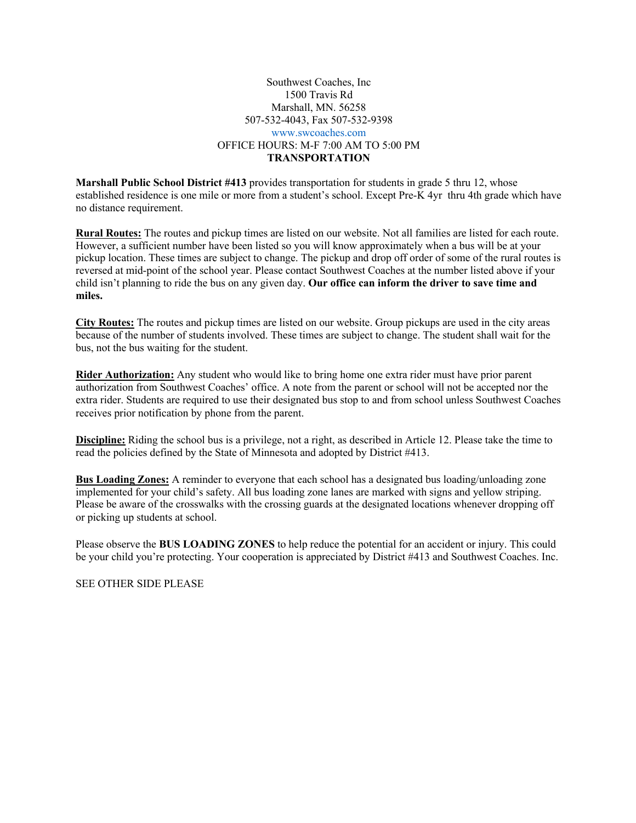## Southwest Coaches, Inc 1500 Travis Rd Marshall, MN. 56258 507-532-4043, Fax 507-532-9398 www.swcoaches.com OFFICE HOURS: M-F 7:00 AM TO 5:00 PM **TRANSPORTATION**

**Marshall Public School District #413** provides transportation for students in grade 5 thru 12, whose established residence is one mile or more from a student's school. Except Pre-K 4yr thru 4th grade which have no distance requirement.

**Rural Routes:** The routes and pickup times are listed on our website. Not all families are listed for each route. However, a sufficient number have been listed so you will know approximately when a bus will be at your pickup location. These times are subject to change. The pickup and drop off order of some of the rural routes is reversed at mid-point of the school year. Please contact Southwest Coaches at the number listed above if your child isn't planning to ride the bus on any given day. **Our office can inform the driver to save time and miles.**

**City Routes:** The routes and pickup times are listed on our website. Group pickups are used in the city areas because of the number of students involved. These times are subject to change. The student shall wait for the bus, not the bus waiting for the student.

**Rider Authorization:** Any student who would like to bring home one extra rider must have prior parent authorization from Southwest Coaches' office. A note from the parent or school will not be accepted nor the extra rider. Students are required to use their designated bus stop to and from school unless Southwest Coaches receives prior notification by phone from the parent.

**Discipline:** Riding the school bus is a privilege, not a right, as described in Article 12. Please take the time to read the policies defined by the State of Minnesota and adopted by District #413.

**Bus Loading Zones:** A reminder to everyone that each school has a designated bus loading/unloading zone implemented for your child's safety. All bus loading zone lanes are marked with signs and yellow striping. Please be aware of the crosswalks with the crossing guards at the designated locations whenever dropping off or picking up students at school.

Please observe the **BUS LOADING ZONES** to help reduce the potential for an accident or injury. This could be your child you're protecting. Your cooperation is appreciated by District #413 and Southwest Coaches. Inc.

SEE OTHER SIDE PLEASE